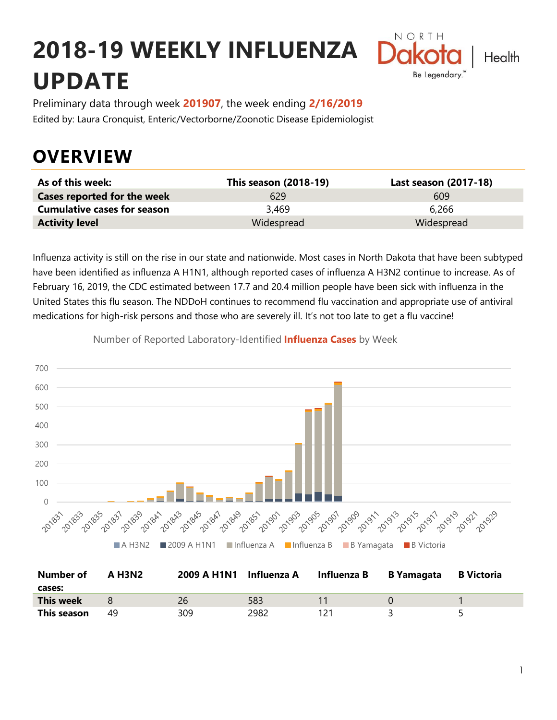# **2018-19 WEEKLY INFLUENZA UPDATE**



Preliminary data through week **201907**, the week ending **2/16/2019** Edited by: Laura Cronquist, Enteric/Vectorborne/Zoonotic Disease Epidemiologist

### **OVERVIEW**

| As of this week:                   | <b>This season (2018-19)</b> | Last season (2017-18) |
|------------------------------------|------------------------------|-----------------------|
| <b>Cases reported for the week</b> | 629                          | 609                   |
| <b>Cumulative cases for season</b> | 3,469                        | 6.266                 |
| <b>Activity level</b>              | Widespread                   | Widespread            |

Influenza activity is still on the rise in our state and nationwide. Most cases in North Dakota that have been subtyped have been identified as influenza A H1N1, although reported cases of influenza A H3N2 continue to increase. As of February 16, 2019, the CDC estimated between 17.7 and 20.4 million people have been sick with influenza in the United States this flu season. The NDDoH continues to recommend flu vaccination and appropriate use of antiviral medications for high-risk persons and those who are severely ill. It's not too late to get a flu vaccine!



Number of Reported Laboratory-Identified **Influenza Cases** by Week

| <b>Number of</b><br>cases: | A H3N2 | 2009 A H1N1 | Influenza A | Influenza B | <b>B</b> Yamagata | <b>B</b> Victoria |
|----------------------------|--------|-------------|-------------|-------------|-------------------|-------------------|
| <b>This week</b>           |        | 26          | 583         |             |                   |                   |
| This season                | 49     | 309         | 2982        |             |                   |                   |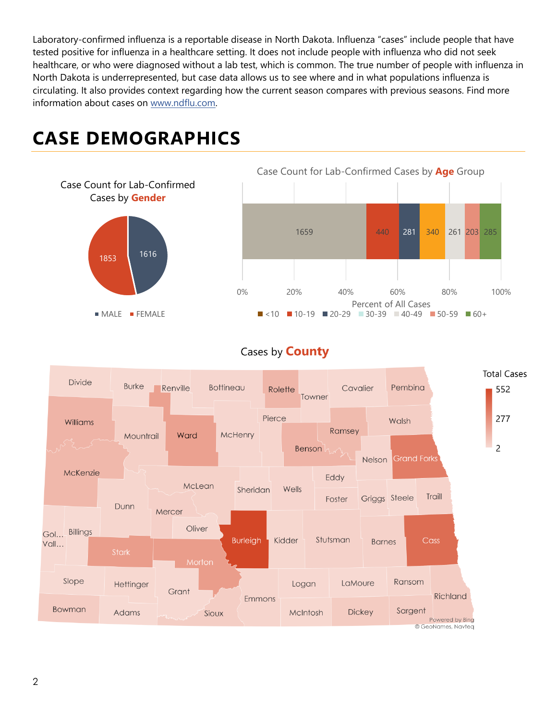Laboratory-confirmed influenza is a reportable disease in North Dakota. Influenza "cases" include people that have tested positive for influenza in a healthcare setting. It does not include people with influenza who did not seek healthcare, or who were diagnosed without a lab test, which is common. The true number of people with influenza in North Dakota is underrepresented, but case data allows us to see where and in what populations influenza is circulating. It also provides context regarding how the current season compares with previous seasons. Find more information about cases on [www.ndflu.com.](file://///nd.gov/doh/DOH-DATA/MSS/DC/PROGRAM/IMMUNE/Immunize/Influenza/Inf18-19/Surveillance/Weekly%20Summaries/www.ndflu.com)

## **CASE DEMOGRAPHICS**





#### Cases by **County**

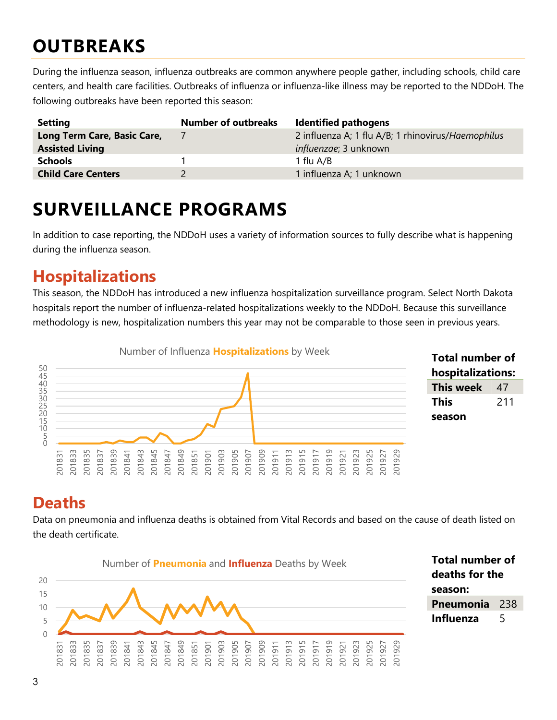### **OUTBREAKS**

During the influenza season, influenza outbreaks are common anywhere people gather, including schools, child care centers, and health care facilities. Outbreaks of influenza or influenza-like illness may be reported to the NDDoH. The following outbreaks have been reported this season:

| <b>Setting</b>              | <b>Number of outbreaks</b> | <b>Identified pathogens</b>                        |
|-----------------------------|----------------------------|----------------------------------------------------|
| Long Term Care, Basic Care, |                            | 2 influenza A; 1 flu A/B; 1 rhinovirus/Haemophilus |
| <b>Assisted Living</b>      |                            | <i>influenzae</i> ; 3 unknown                      |
| <b>Schools</b>              |                            | 1 flu A/B                                          |
| <b>Child Care Centers</b>   |                            | 1 influenza A; 1 unknown                           |

### **SURVEILLANCE PROGRAMS**

In addition to case reporting, the NDDoH uses a variety of information sources to fully describe what is happening during the influenza season.

### **Hospitalizations**

This season, the NDDoH has introduced a new influenza hospitalization surveillance program. Select North Dakota hospitals report the number of influenza-related hospitalizations weekly to the NDDoH. Because this surveillance methodology is new, hospitalization numbers this year may not be comparable to those seen in previous years.



#### **Total number of hospitalizations: This week** 47 **This season**

#### **Deaths**

Data on pneumonia and influenza deaths is obtained from Vital Records and based on the cause of death listed on the death certificate.



**Total number of deaths for the season: Pneumonia** 238 **Influenza** 5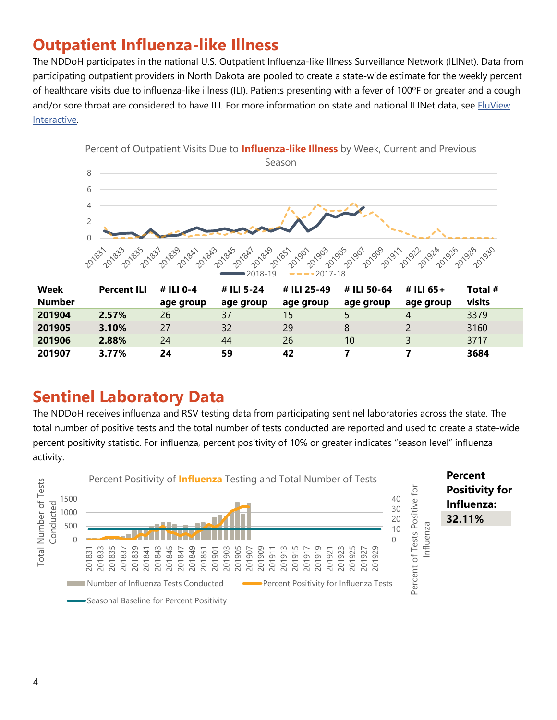### **Outpatient Influenza-like Illness**

The NDDoH participates in the national U.S. Outpatient Influenza-like Illness Surveillance Network (ILINet). Data from participating outpatient providers in North Dakota are pooled to create a state-wide estimate for the weekly percent of healthcare visits due to influenza-like illness (ILI). Patients presenting with a fever of 100ºF or greater and a cough and/or sore throat are considered to have ILI. For more information on state and national ILINet data, see FluView [Interactive.](https://gis.cdc.gov/grasp/fluview/fluportaldashboard.html)



#### **Sentinel Laboratory Data**

The NDDoH receives influenza and RSV testing data from participating sentinel laboratories across the state. The total number of positive tests and the total number of tests conducted are reported and used to create a state-wide percent positivity statistic. For influenza, percent positivity of 10% or greater indicates "season level" influenza activity.

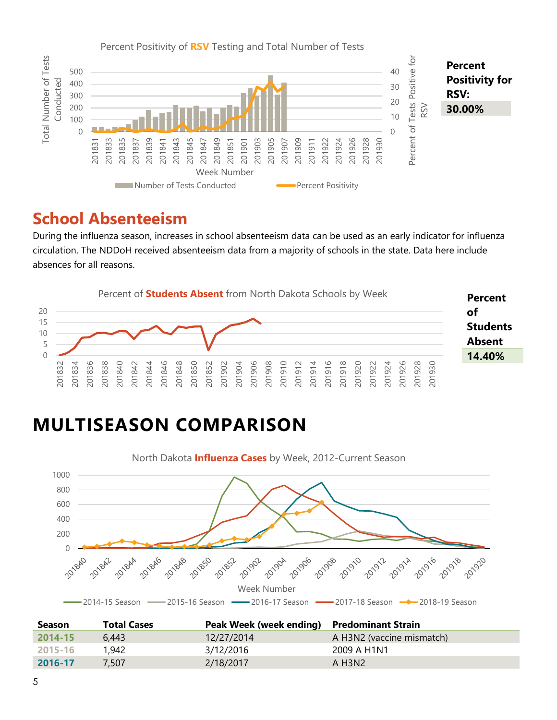

#### **School Absenteeism**

During the influenza season, increases in school absenteeism data can be used as an early indicator for influenza circulation. The NDDoH received absenteeism data from a majority of schools in the state. Data here include absences for all reasons.



## **MULTISEASON COMPARISON**



| <b>Season</b> | <b>Total Cases</b> | Peak Week (week ending) Predominant Strain |                                      |
|---------------|--------------------|--------------------------------------------|--------------------------------------|
| $-2014 - 15$  | 6.443              | 12/27/2014                                 | A H3N2 (vaccine mismatch)            |
| 2015-16       | 1.942              | 3/12/2016                                  | 2009 A H <sub>1</sub> N <sub>1</sub> |
| 2016-17       | 7.507              | 2/18/2017                                  | A H <sub>3</sub> N <sub>2</sub>      |